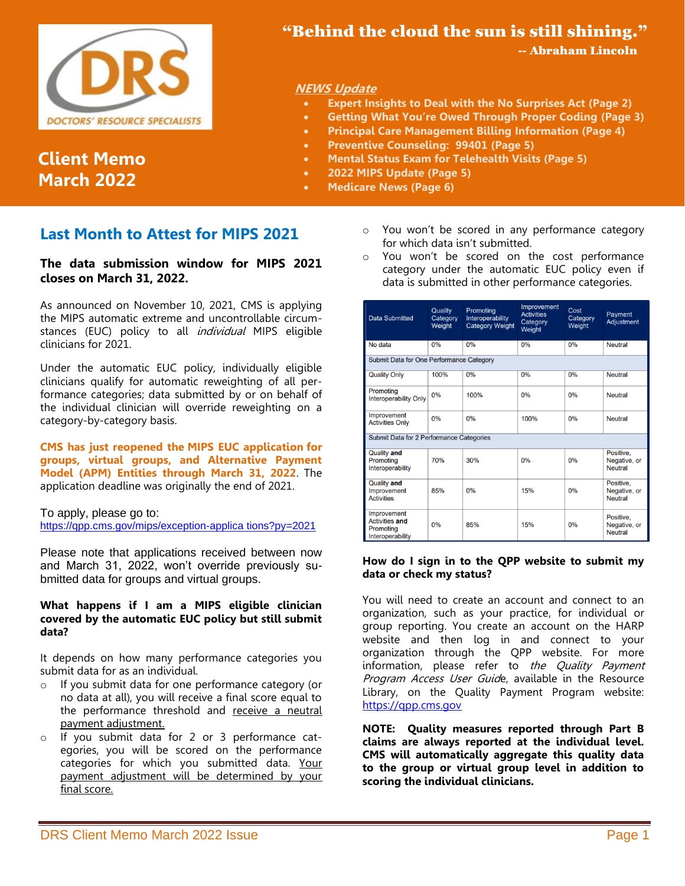

**Client Memo March 2022**

# "Behind the cloud the sun is still shining."

-- Abraham Lincoln

#### **NEWS Update**

- **Expert Insights to Deal with the No Surprises Act (Page 2)**
- **Getting What You're Owed Through Proper Coding (Page 3)**
- **Principal Care Management Billing Information (Page 4)**
- **Preventive Counseling: 99401 (Page 5)**
- **Mental Status Exam for Telehealth Visits (Page 5)**
- **2022 MIPS Update (Page 5)**
- **Medicare News (Page 6)**

# **Last Month to Attest for MIPS 2021**

#### **The data submission window for MIPS 2021 closes on March 31, 2022.**

As announced on November 10, 2021, CMS is applying the MIPS automatic extreme and uncontrollable circumstances (EUC) policy to all *individual* MIPS eligible clinicians for 2021.

Under the automatic EUC policy, individually eligible clinicians qualify for automatic reweighting of all performance categories; data submitted by or on behalf of the individual clinician will override reweighting on a category-by-category basis.

**CMS has just reopened the [MIPS EUC application](https://lnks.gd/l/eyJhbGciOiJIUzI1NiJ9.eyJidWxsZXRpbl9saW5rX2lkIjoxMDAsInVyaSI6ImJwMjpjbGljayIsImJ1bGxldGluX2lkIjoiMjAyMjAzMDEuNTQyMTczNjEiLCJ1cmwiOiJodHRwczovL3FwcC5jbXMuZ292L21pcHMvZXhjZXB0aW9uLWFwcGxpY2F0aW9ucz9weT0yMDIxIn0.I7zDTC_xQK0AOzdDFx0b3cWS1Y4QbRQ2-doPWg9pH9s/s/148356598/br/127354335955-l) for groups, virtual groups, and Alternative Payment Model (APM) Entities through March 31, 2022**. The application deadline was originally the end of 2021.

#### To apply, please go to:

[https://qpp.cms.gov/mips/exception-applica tions?py=2021](https://qpp.cms.gov/mips/exception-applica%20tions?py=2021)

Please note that applications received between now and March 31, 2022, won't override previously submitted data for groups and virtual groups.

#### **What happens if I am a MIPS eligible clinician covered by the automatic EUC policy but still submit data?**

It depends on how many performance categories you submit data for as an individual.

- o If you submit data for one performance category (or no data at all), you will receive a final score equal to the performance threshold and receive a neutral payment adjustment.
- o If you submit data for 2 or 3 performance categories, you will be scored on the performance categories for which you submitted data. Your payment adjustment will be determined by your final score.
- o You won't be scored in any performance category for which data isn't submitted.
- o You won't be scored on the cost performance category under the automatic EUC policy even if data is submitted in other performance categories.

| <b>Data Submitted</b>                                                 | Quality<br>Category<br>Weight | Promoting<br>Interoperability<br><b>Category Weight</b> | Improvement<br><b>Activities</b><br>Category<br>Weight | Cost<br>Category<br>Weight | Payment<br><b>Adjustment</b>                |
|-----------------------------------------------------------------------|-------------------------------|---------------------------------------------------------|--------------------------------------------------------|----------------------------|---------------------------------------------|
| No data                                                               | 0%                            | 0%                                                      | 0%                                                     | 0%                         | <b>Neutral</b>                              |
| Submit Data for One Performance Category                              |                               |                                                         |                                                        |                            |                                             |
| <b>Quality Only</b>                                                   | 100%                          | 0%                                                      | 0%                                                     | 0%                         | <b>Neutral</b>                              |
| Promoting<br><b>Interoperability Only</b>                             | 0%                            | 100%                                                    | 0%                                                     | 0%                         | <b>Neutral</b>                              |
| Improvement<br><b>Activities Only</b>                                 | 0%                            | 0%                                                      | 100%                                                   | 0%                         | Neutral                                     |
| Submit Data for 2 Performance Categories                              |                               |                                                         |                                                        |                            |                                             |
| <b>Quality and</b><br>Promoting<br>Interoperability                   | 70%                           | 30%                                                     | 0%                                                     | 0%                         | Positive.<br>Negative, or<br><b>Neutral</b> |
| <b>Quality and</b><br>Improvement<br><b>Activities</b>                | 85%                           | 0%                                                      | 15%                                                    | 0%                         | Positive.<br>Negative, or<br><b>Neutral</b> |
| Improvement<br><b>Activities and</b><br>Promoting<br>Interoperability | 0%                            | 85%                                                     | 15%                                                    | 0%                         | Positive.<br>Negative, or<br><b>Neutral</b> |

#### **How do I sign in to the QPP website to submit my data or check my status?**

You will need to create an account and connect to an organization, such as your practice, for individual or group reporting. You create an account on the HARP website and then log in and connect to your organization through the QPP website. For more information, please refer to the Quality Payment Program Access User Guide, available in the Resource Library, on the Quality Payment Program website: [https://qpp.cms.gov](https://qpp.cms.gov/)

**NOTE: Quality measures reported through Part B claims are always reported at the individual level. CMS will automatically aggregate this quality data to the group or virtual group level in addition to scoring the individual clinicians.**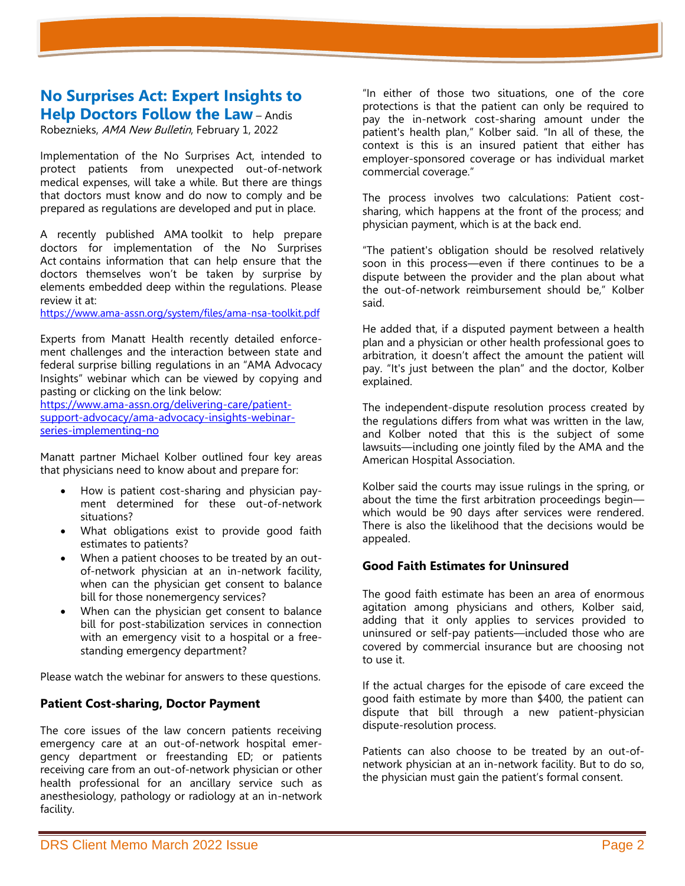### **No Surprises Act: Expert Insights to Help Doctors Follow the Law** – Andis

Robeznieks, AMA New Bulletin, February 1, 2022

Implementation of the No Surprises Act, intended to protect patients from unexpected out-of-network medical expenses, will take a while. But there are things that doctors must know and do now to comply and be prepared as regulations are developed and put in place.

A recently published AMA [toolkit to help prepare](https://www.ama-assn.org/system/files/ama-nsa-toolkit.pdf)  [doctors for implementation of the No Surprises](https://www.ama-assn.org/system/files/ama-nsa-toolkit.pdf)  [Act](https://www.ama-assn.org/system/files/ama-nsa-toolkit.pdf) contains information that can help ensure that the doctors themselves won't be taken by surprise by elements embedded deep within the regulations. Please review it at:

<https://www.ama-assn.org/system/files/ama-nsa-toolkit.pdf>

Experts from Manatt Health recently detailed enforcement challenges and the interaction between state and federal surprise billing regulations in an "[AMA Advocacy](https://www.ama-assn.org/delivering-care/patient-support-advocacy/ama-advocacy-insights-webinar-series-implementing-no)  Insights" [webinar](https://www.ama-assn.org/delivering-care/patient-support-advocacy/ama-advocacy-insights-webinar-series-implementing-no) which can be viewed by copying and pasting or clicking on the link below:

[https://www.ama-assn.org/delivering-care/patient](https://www.ama-assn.org/delivering-care/patient-support-advocacy/ama-advocacy-insights-webinar-series-implementing-no)[support-advocacy/ama-advocacy-insights-webinar](https://www.ama-assn.org/delivering-care/patient-support-advocacy/ama-advocacy-insights-webinar-series-implementing-no)[series-implementing-no](https://www.ama-assn.org/delivering-care/patient-support-advocacy/ama-advocacy-insights-webinar-series-implementing-no)

Manatt partner Michael Kolber outlined four key areas that physicians need to know about and prepare for:

- How is patient cost-sharing and physician payment determined for these out-of-network situations?
- What obligations exist to provide good faith estimates to patients?
- When a patient chooses to be treated by an outof-network physician at an in-network facility, when can the physician get consent to balance bill for those nonemergency services?
- When can the physician get consent to balance bill for post-stabilization services in connection with an emergency visit to a hospital or a freestanding emergency department?

Please watch the webinar for answers to these questions.

#### **Patient Cost-sharing, Doctor Payment**

The core issues of the law concern patients receiving emergency care at an out-of-network hospital emergency department or freestanding ED; or patients receiving care from an out-of-network physician or other health professional for an ancillary service such as anesthesiology, pathology or radiology at an in-network facility.

"In either of those two situations, one of the core protections is that the patient can only be required to pay the in-network cost-sharing amount under the patient's health plan," Kolber said. "In all of these, the context is this is an insured patient that either has employer-sponsored coverage or has individual market commercial coverage."

The process involves two calculations: Patient costsharing, which happens at the front of the process; and physician payment, which is at the back end.

"The patient's obligation should be resolved relatively soon in this process—even if there continues to be a dispute between the provider and the plan about what the out-of-network reimbursement should be," Kolber said.

He added that, if a disputed payment between a health plan and a physician or other health professional goes to arbitration, it doesn't affect the amount the patient will pay. "It's just between the plan" and the doctor, Kolber explained.

The independent-dispute resolution process created by the regulations differs from what was written in the law, and Kolber noted that this is the subject of some lawsuits—including one jointly filed by the AMA and the American Hospital Association.

Kolber said the courts may issue rulings in the spring, or about the time the first arbitration proceedings begin which would be 90 days after services were rendered. There is also the likelihood that the decisions would be appealed.

#### **Good Faith Estimates for Uninsured**

The good faith estimate has been an area of enormous agitation among physicians and others, Kolber said, adding that it only applies to services provided to uninsured or self-pay patients—included those who are covered by commercial insurance but are choosing not to use it.

If the actual charges for the episode of care exceed the good faith estimate by more than \$400, the patient can dispute that bill through a new patient-physician dispute-resolution process.

Patients can also choose to be treated by an out-ofnetwork physician at an in-network facility. But to do so, the physician must gain the patient's formal consent.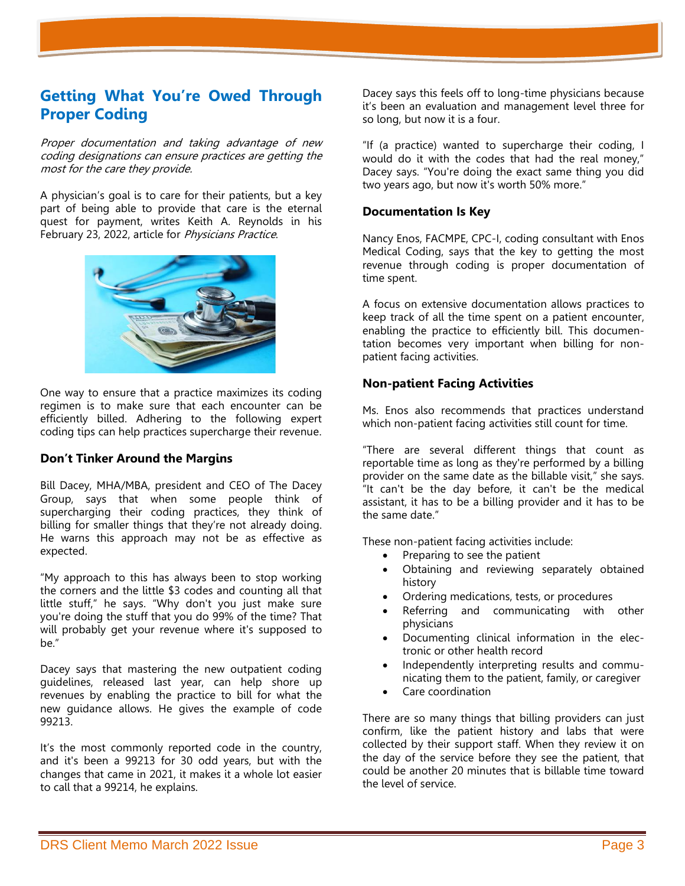# **Getting What You're Owed Through Proper Coding**

Proper documentation and taking advantage of new coding designations can ensure practices are getting the most for the care they provide.

A physician's goal is to care for their patients, but a key part of being able to provide that care is the eternal quest for payment, writes Keith A. Reynolds in his February 23, 2022, article for Physicians Practice.



One way to ensure that a practice maximizes its coding regimen is to make sure that each encounter can be efficiently billed. Adhering to the following expert coding tips can help practices supercharge their revenue.

#### **Don't Tinker Around the Margins**

Bill Dacey, MHA/MBA, president and CEO of The Dacey Group, says that when some people think of supercharging their coding practices, they think of billing for smaller things that they're not already doing. He warns this approach may not be as effective as expected.

"My approach to this has always been to stop working the corners and the little \$3 codes and counting all that little stuff," he says. "Why don't you just make sure you're doing the stuff that you do 99% of the time? That will probably get your revenue where it's supposed to be."

Dacey says that mastering the new outpatient coding guidelines, released last year, can help shore up revenues by enabling the practice to bill for what the new guidance allows. He gives the example of code 99213.

It's the most commonly reported code in the country, and it's been a 99213 for 30 odd years, but with the changes that came in 2021, it makes it a whole lot easier to call that a 99214, he explains.

Dacey says this feels off to long-time physicians because it's been an evaluation and management level three for so long, but now it is a four.

"If (a practice) wanted to supercharge their coding, I would do it with the codes that had the real money," Dacey says. "You're doing the exact same thing you did two years ago, but now it's worth 50% more."

#### **Documentation Is Key**

Nancy Enos, FACMPE, CPC-I, coding consultant with Enos Medical Coding, says that the key to getting the most revenue through coding is proper documentation of time spent.

A focus on extensive documentation allows practices to keep track of all the time spent on a patient encounter, enabling the practice to efficiently bill. This documentation becomes very important when billing for nonpatient facing activities.

#### **Non-patient Facing Activities**

Ms. Enos also recommends that practices understand which non-patient facing activities still count for time.

"There are several different things that count as reportable time as long as they're performed by a billing provider on the same date as the billable visit," she says. "It can't be the day before, it can't be the medical assistant, it has to be a billing provider and it has to be the same date."

These non-patient facing activities include:

- Preparing to see the patient
- Obtaining and reviewing separately obtained history
- Ordering medications, tests, or procedures
- Referring and communicating with other physicians
- Documenting clinical information in the electronic or other health record
- Independently interpreting results and communicating them to the patient, family, or caregiver
- Care coordination

There are so many things that billing providers can just confirm, like the patient history and labs that were collected by their support staff. When they review it on the day of the service before they see the patient, that could be another 20 minutes that is billable time toward the level of service.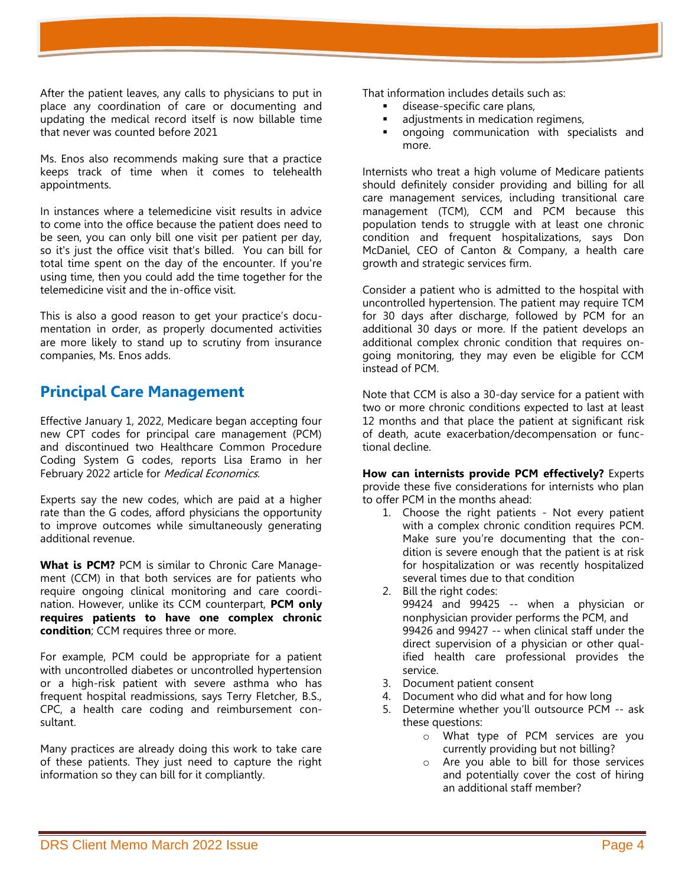After the patient leaves, any calls to physicians to put in place any coordination of care or documenting and updating the medical record itself is now billable time that never was counted before 2021

Ms. Enos also recommends making sure that a practice keeps track of time when it comes to telehealth appointments.

In instances where a telemedicine visit results in advice to come into the office because the patient does need to be seen, you can only bill one visit per patient per day, so it's just the office visit that's billed. You can bill for total time spent on the day of the encounter. If you're using time, then you could add the time together for the telemedicine visit and the in-office visit.

This is also a good reason to get your practice's documentation in order, as properly documented activities are more likely to stand up to scrutiny from insurance companies, Ms. Enos adds.

# **Principal Care Management**

Effective January 1, 2022, Medicare began accepting four new CPT codes for principal care management (PCM) and discontinued two Healthcare Common Procedure Coding System G codes, reports Lisa Eramo in her February 2022 article for Medical Economics.

Experts say the new codes, which are paid at a higher rate than the G codes, afford physicians the opportunity to improve outcomes while simultaneously generating additional revenue.

**What is PCM?** PCM is similar to Chronic Care Management (CCM) in that both services are for patients who require ongoing clinical monitoring and care coordination. However, unlike its CCM counterpart, **PCM only requires patients to have one complex chronic condition**; CCM requires three or more.

For example, PCM could be appropriate for a patient with uncontrolled diabetes or uncontrolled hypertension or a high-risk patient with severe asthma who has frequent hospital readmissions, says Terry Fletcher, B.S., CPC, a health care coding and reimbursement consultant.

Many practices are already doing this work to take care of these patients. They just need to capture the right information so they can bill for it compliantly.

That information includes details such as:

- disease-specific care plans,
- adjustments in medication regimens,
- ongoing communication with specialists and more.

Internists who treat a high volume of Medicare patients should definitely consider providing and billing for all care management services, including transitional care management (TCM), CCM and PCM because this population tends to struggle with at least one chronic condition and frequent hospitalizations, says Don McDaniel, CEO of Canton & Company, a health care growth and strategic services firm.

Consider a patient who is admitted to the hospital with uncontrolled hypertension. The patient may require TCM for 30 days after discharge, followed by PCM for an additional 30 days or more. If the patient develops an additional complex chronic condition that requires ongoing monitoring, they may even be eligible for CCM instead of PCM.

Note that CCM is also a 30-day service for a patient with two or more chronic conditions expected to last at least 12 months and that place the patient at significant risk of death, acute exacerbation/decompensation or functional decline.

**How can internists provide PCM effectively?** Experts provide these five considerations for internists who plan to offer PCM in the months ahead:

- 1. Choose the right patients Not every patient with a complex chronic condition requires PCM. Make sure you're documenting that the condition is severe enough that the patient is at risk for hospitalization or was recently hospitalized several times due to that condition
- 2. Bill the right codes: 99424 and 99425 -- when a physician or nonphysician provider performs the PCM, and 99426 and 99427 -- when clinical staff under the direct supervision of a physician or other qualified health care professional provides the service.
- 3. Document patient consent
- 4. Document who did what and for how long
- 5. Determine whether you'll outsource PCM -- ask these questions:
	- o What type of PCM services are you currently providing but not billing?
	- o Are you able to bill for those services and potentially cover the cost of hiring an additional staff member?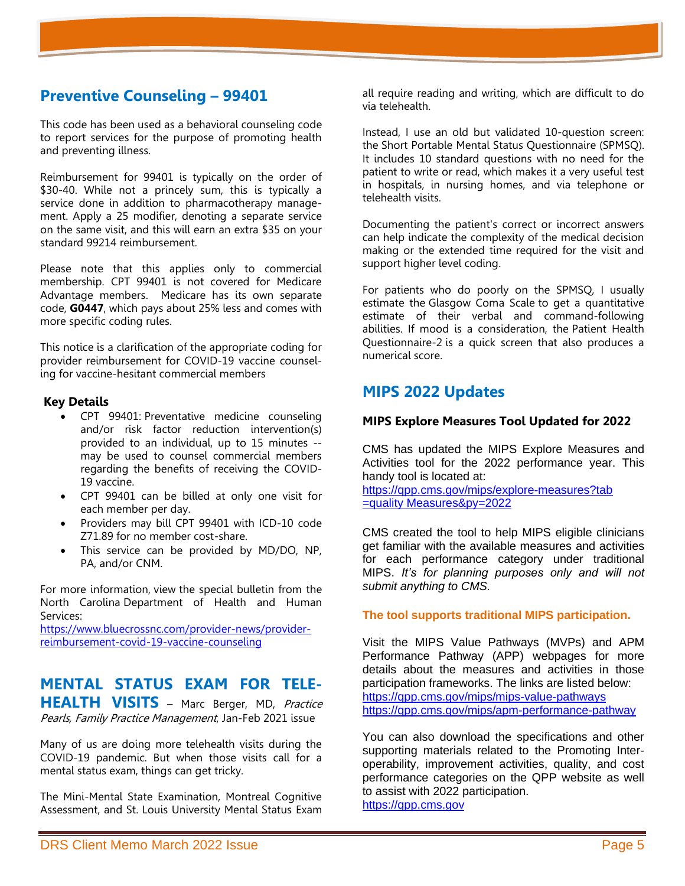# **Preventive Counseling – 99401**

This code has been used as a behavioral counseling code to report services for the purpose of promoting health and preventing illness.

Reimbursement for 99401 is typically on the order of \$30-40. While not a princely sum, this is typically a service done in addition to pharmacotherapy management. Apply a 25 modifier, denoting a separate service on the same visit, and this will earn an extra \$35 on your standard 99214 reimbursement.

Please note that this applies only to commercial membership. CPT 99401 is not covered for Medicare Advantage members. Medicare has its own separate code, **G0447**, which pays about 25% less and comes with more specific coding rules.

This notice is a clarification of the appropriate coding for provider reimbursement for COVID-19 vaccine counseling for vaccine-hesitant commercial members

#### **Key Details**

- CPT 99401: Preventative medicine counseling and/or risk factor reduction intervention(s) provided to an individual, up to 15 minutes - may be used to counsel commercial members regarding the benefits of receiving the COVID-19 vaccine.
- CPT 99401 can be billed at only one visit for each member per day.
- Providers may bill CPT 99401 with ICD-10 code Z71.89 for no member cost-share.
- This service can be provided by MD/DO, NP, PA, and/or CNM.

For more information, view [the special bulletin from the](https://medicaid.ncdhhs.gov/blog/2021/06/21/special-bulletin-covid-19-168-vaccination-counseling-code-reimbursement)  North Carolina [Department of Health and Human](https://medicaid.ncdhhs.gov/blog/2021/06/21/special-bulletin-covid-19-168-vaccination-counseling-code-reimbursement)  [Services:](https://medicaid.ncdhhs.gov/blog/2021/06/21/special-bulletin-covid-19-168-vaccination-counseling-code-reimbursement) 

[https://www.bluecrossnc.com/provider-news/provider](https://www.bluecrossnc.com/provider-news/provider-reimbursement-covid-19-vaccine-counseling)[reimbursement-covid-19-vaccine-counseling](https://www.bluecrossnc.com/provider-news/provider-reimbursement-covid-19-vaccine-counseling)

### **MENTAL STATUS EXAM FOR TELE-HEALTH VISITS** – Marc Berger, MD, Practice

Pearls, Family Practice Management, Jan-Feb 2021 issue

Many of us are doing more telehealth visits during the COVID-19 pandemic. But when those visits call for a mental status exam, things can get tricky.

The Mini-Mental State Examination, Montreal Cognitive Assessment, and St. Louis University Mental Status Exam

all require reading and writing, which are difficult to do via telehealth.

Instead, I use an old but validated 10-question screen: the Short [Portable Mental Status Questionnaire](https://geriatrics.stanford.edu/culturemed/overview/assessment/assessment_toolkit/spmsq.html) (SPMSQ). It includes 10 standard questions with no need for the patient to write or read, which makes it a very useful test in hospitals, in nursing homes, and via telephone or telehealth visits.

Documenting the patient's correct or incorrect answers can help indicate the complexity of the medical decision making or the extended time required for the visit and support higher level coding.

For patients who do poorly on the SPMSQ, I usually estimate the [Glasgow Coma Scale](https://www.cdc.gov/masstrauma/resources/gcs.pdf) to get a quantitative estimate of their verbal and command-following abilities. If mood is a consideration, the [Patient Health](https://www.alz.org/media/Documents/nida-clin-trials-patient-health-question-2.pdf)  [Questionnaire-2](https://www.alz.org/media/Documents/nida-clin-trials-patient-health-question-2.pdf) is a quick screen that also produces a numerical score.

# **MIPS 2022 Updates**

#### **MIPS Explore Measures Tool Updated for 2022**

CMS has updated the MIPS [Explore Measures and](https://lnks.gd/l/eyJhbGciOiJIUzI1NiJ9.eyJidWxsZXRpbl9saW5rX2lkIjoxMDAsInVyaSI6ImJwMjpjbGljayIsImJ1bGxldGluX2lkIjoiMjAyMjAyMDkuNTMxNjUzNTEiLCJ1cmwiOiJodHRwczovL3FwcC5jbXMuZ292L21pcHMvZXhwbG9yZS1tZWFzdXJlcz90YWI9cXVhbGl0eU1lYXN1cmVzJnB5PTIwMjIifQ.KGUXIfgpqz7Wkp3vbe5yT7h7ScJpQzd4M2MSpyIKSas/s/148356598/br/126392848951-l)  [Activities tool](https://lnks.gd/l/eyJhbGciOiJIUzI1NiJ9.eyJidWxsZXRpbl9saW5rX2lkIjoxMDAsInVyaSI6ImJwMjpjbGljayIsImJ1bGxldGluX2lkIjoiMjAyMjAyMDkuNTMxNjUzNTEiLCJ1cmwiOiJodHRwczovL3FwcC5jbXMuZ292L21pcHMvZXhwbG9yZS1tZWFzdXJlcz90YWI9cXVhbGl0eU1lYXN1cmVzJnB5PTIwMjIifQ.KGUXIfgpqz7Wkp3vbe5yT7h7ScJpQzd4M2MSpyIKSas/s/148356598/br/126392848951-l) for the 2022 performance year. This handy tool is located at:

[https://qpp.cms.gov/mips/explore-measures?tab](https://qpp.cms.gov/mips/explore-measures?tab%20=quality%20Measures&py=2022)  [=quality Measures&py=2022](https://qpp.cms.gov/mips/explore-measures?tab%20=quality%20Measures&py=2022)

CMS created the tool to help MIPS eligible clinicians get familiar with the available measures and activities for each performance category under traditional MIPS. *It's for planning purposes only and will not submit anything to CMS.*

**The tool supports traditional MIPS participation.** 

Visit the [MIPS Value Pathways \(MVPs\)](https://lnks.gd/l/eyJhbGciOiJIUzI1NiJ9.eyJidWxsZXRpbl9saW5rX2lkIjoxMDEsInVyaSI6ImJwMjpjbGljayIsImJ1bGxldGluX2lkIjoiMjAyMjAyMDkuNTMxNjUzNTEiLCJ1cmwiOiJodHRwczovL3FwcC5jbXMuZ292L21pcHMvbWlwcy12YWx1ZS1wYXRod2F5cyJ9.zTij5lLxtWQlsnMzhoF3vyqdCjJDHjA7ZPR412eUpvE/s/148356598/br/126392848951-l) and [APM](https://lnks.gd/l/eyJhbGciOiJIUzI1NiJ9.eyJidWxsZXRpbl9saW5rX2lkIjoxMDIsInVyaSI6ImJwMjpjbGljayIsImJ1bGxldGluX2lkIjoiMjAyMjAyMDkuNTMxNjUzNTEiLCJ1cmwiOiJodHRwczovL3FwcC5jbXMuZ292L21pcHMvYXBtLXBlcmZvcm1hbmNlLXBhdGh3YXkifQ.cpIDUcqlHd3ozDy2UDhEbH5dpn7hsGEcHgA4p7q1paY/s/148356598/br/126392848951-l)  [Performance Pathway \(APP\)](https://lnks.gd/l/eyJhbGciOiJIUzI1NiJ9.eyJidWxsZXRpbl9saW5rX2lkIjoxMDIsInVyaSI6ImJwMjpjbGljayIsImJ1bGxldGluX2lkIjoiMjAyMjAyMDkuNTMxNjUzNTEiLCJ1cmwiOiJodHRwczovL3FwcC5jbXMuZ292L21pcHMvYXBtLXBlcmZvcm1hbmNlLXBhdGh3YXkifQ.cpIDUcqlHd3ozDy2UDhEbH5dpn7hsGEcHgA4p7q1paY/s/148356598/br/126392848951-l) webpages for more details about the measures and activities in those participation frameworks. The links are listed below: <https://qpp.cms.gov/mips/mips-value-pathways> <https://qpp.cms.gov/mips/apm-performance-pathway>

You can also download the specifications and other supporting materials related to the Promoting Interoperability, improvement activities, quality, and cost performance categories on the QPP website as well to assist with 2022 participation[.](https://qpp.cms.gov/) [https://qpp.cms.gov](https://qpp.cms.gov/)